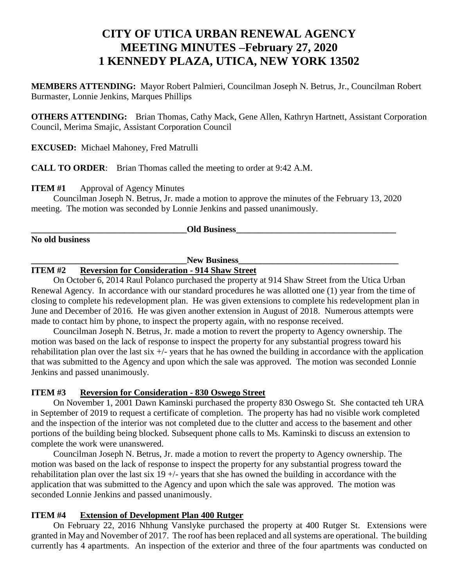# **CITY OF UTICA URBAN RENEWAL AGENCY MEETING MINUTES –February 27, 2020 1 KENNEDY PLAZA, UTICA, NEW YORK 13502**

**MEMBERS ATTENDING:** Mayor Robert Palmieri, Councilman Joseph N. Betrus, Jr., Councilman Robert Burmaster, Lonnie Jenkins, Marques Phillips

**OTHERS ATTENDING:** Brian Thomas, Cathy Mack, Gene Allen, Kathryn Hartnett, Assistant Corporation Council, Merima Smajic, Assistant Corporation Council

**EXCUSED:** Michael Mahoney, Fred Matrulli

**CALL TO ORDER**: Brian Thomas called the meeting to order at 9:42 A.M.

**ITEM #1** Approval of Agency Minutes

Councilman Joseph N. Betrus, Jr. made a motion to approve the minutes of the February 13, 2020 meeting. The motion was seconded by Lonnie Jenkins and passed unanimously.

**Old Business** 

**No old business**

## New Business

#### **ITEM #2 Reversion for Consideration - 914 Shaw Street**

On October 6, 2014 Raul Polanco purchased the property at 914 Shaw Street from the Utica Urban Renewal Agency. In accordance with our standard procedures he was allotted one (1) year from the time of closing to complete his redevelopment plan. He was given extensions to complete his redevelopment plan in June and December of 2016. He was given another extension in August of 2018. Numerous attempts were made to contact him by phone, to inspect the property again, with no response received.

Councilman Joseph N. Betrus, Jr. made a motion to revert the property to Agency ownership. The motion was based on the lack of response to inspect the property for any substantial progress toward his rehabilitation plan over the last  $\sin \frac{1}{x}$  years that he has owned the building in accordance with the application that was submitted to the Agency and upon which the sale was approved. The motion was seconded Lonnie Jenkins and passed unanimously.

#### **ITEM #3 Reversion for Consideration - 830 Oswego Street**

On November 1, 2001 Dawn Kaminski purchased the property 830 Oswego St. She contacted teh URA in September of 2019 to request a certificate of completion. The property has had no visible work completed and the inspection of the interior was not completed due to the clutter and access to the basement and other portions of the building being blocked. Subsequent phone calls to Ms. Kaminski to discuss an extension to complete the work were unanswered.

Councilman Joseph N. Betrus, Jr. made a motion to revert the property to Agency ownership. The motion was based on the lack of response to inspect the property for any substantial progress toward the rehabilitation plan over the last six  $19 +/-$  years that she has owned the building in accordance with the application that was submitted to the Agency and upon which the sale was approved. The motion was seconded Lonnie Jenkins and passed unanimously.

### **ITEM #4 Extension of Development Plan 400 Rutger**

On February 22, 2016 Nhhung Vanslyke purchased the property at 400 Rutger St. Extensions were granted in May and November of 2017. The roof has been replaced and all systems are operational. The building currently has 4 apartments. An inspection of the exterior and three of the four apartments was conducted on